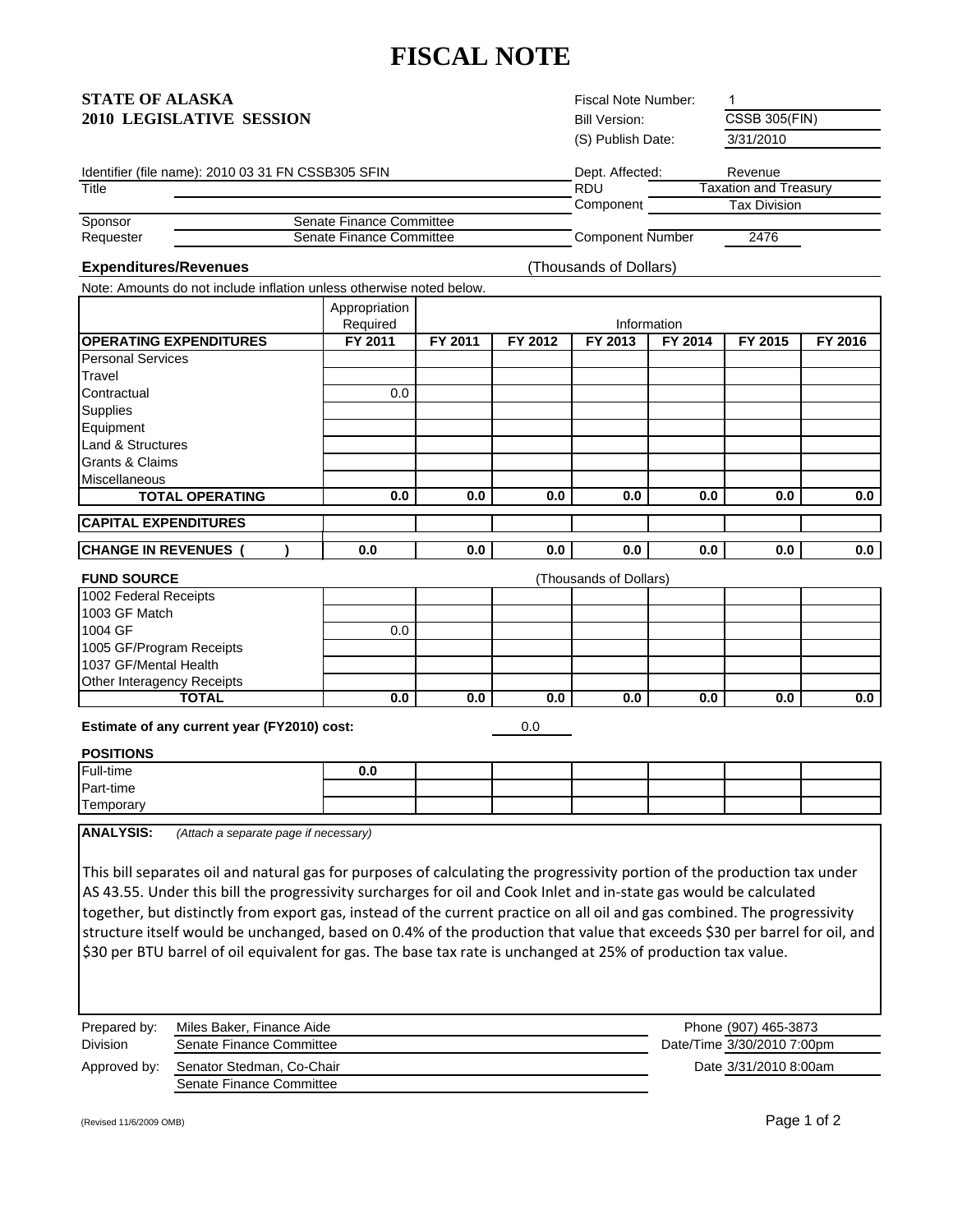# **FISCAL NOTE**

| <b>STATE OF ALASKA</b>   |  |
|--------------------------|--|
| 2010 LEGISLATIVE SESSION |  |

Bill Version: (S) Publish Date: 3/31/2010 **Fiscal Note Number:** 

CSSB 305(FIN)

|  |  | Identifier (file name): 2010 03 31 FN CSSB305 SFIN |  |
|--|--|----------------------------------------------------|--|
|  |  |                                                    |  |

|           | Identifier (file name): 2010 03 31 FN CSSB305 SFIN | Dept. Affected:  | Revenue               |
|-----------|----------------------------------------------------|------------------|-----------------------|
| Title     |                                                    | <b>RDU</b>       | Taxation and Treasurv |
|           |                                                    | Component        | Tax Division          |
| Sponsor   | Senate Finance Committee                           |                  |                       |
| Requester | Senate Finance Committee                           | Component Number | 2476                  |

#### **Expenditures/Revenues**

(Thousands of Dollars)

| Note: Amounts do not include inflation unless otherwise noted below. |               |
|----------------------------------------------------------------------|---------------|
|                                                                      | Appropriation |

|                                | <b>Appropriation</b> |         |         |         |             |         |         |
|--------------------------------|----------------------|---------|---------|---------|-------------|---------|---------|
|                                | Required             |         |         |         | Information |         |         |
| <b>IOPERATING EXPENDITURES</b> | FY 2011              | FY 2011 | FY 2012 | FY 2013 | FY 2014     | FY 2015 | FY 2016 |
| <b>Personal Services</b>       |                      |         |         |         |             |         |         |
| Travel                         |                      |         |         |         |             |         |         |
| Contractual                    | 0.0                  |         |         |         |             |         |         |
| Supplies                       |                      |         |         |         |             |         |         |
| Equipment                      |                      |         |         |         |             |         |         |
| Land & Structures              |                      |         |         |         |             |         |         |
| Grants & Claims                |                      |         |         |         |             |         |         |
| Miscellaneous                  |                      |         |         |         |             |         |         |
| <b>TOTAL OPERATING</b>         | 0.0                  | 0.0     | 0.0     | 0.0     | 0.0         | 0.0     | 0.0     |
|                                |                      |         |         |         |             |         |         |
| <b>CAPITAL EXPENDITURES</b>    |                      |         |         |         |             |         |         |
| <b>CHANGE IN REVENUES</b>      | 0.0                  | 0.0     | 0.0     | 0.0     | 0.0         | 0.0     | 0.0     |

#### **FUND SOURCE** 1002 Federal Receipts 1003 GF Match (Thousands of Dollars) 0.0 **0.0 0.0 0.0 0.0 0.0 0.0 0.0** 1005 GF/Program Receipts 1037 GF/Mental Health 1004 GF Other Interagency Receipts **TOTAL**

**Estimate of any current year (FY2010) cost:** 

0.0

#### **POSITIONS**

| Full-time | v.u |  |  |  |
|-----------|-----|--|--|--|
| Part-time |     |  |  |  |
| Temporary |     |  |  |  |

**ANALYSIS:** *(Attach a separate page if necessary)*

This bill separates oil and natural gas for purposes of calculating the progressivity portion of the production tax under AS 43.55. Under this bill the progressivity surcharges for oil and Cook Inlet and in‐state gas would be calculated together, but distinctly from export gas, instead of the current practice on all oil and gas combined. The progressivity structure itself would be unchanged, based on 0.4% of the production that value that exceeds \$30 per barrel for oil, and \$30 per BTU barrel of oil equivalent for gas. The base tax rate is unchanged at 25% of production tax value.

| Prepared by: | Miles Baker, Finance Aide | Phone (907) 465-3873       |
|--------------|---------------------------|----------------------------|
| Division     | Senate Finance Committee  | Date/Time 3/30/2010 7:00pm |
| Approved by: | Senator Stedman, Co-Chair | Date 3/31/2010 8:00am      |
|              | Senate Finance Committee  |                            |